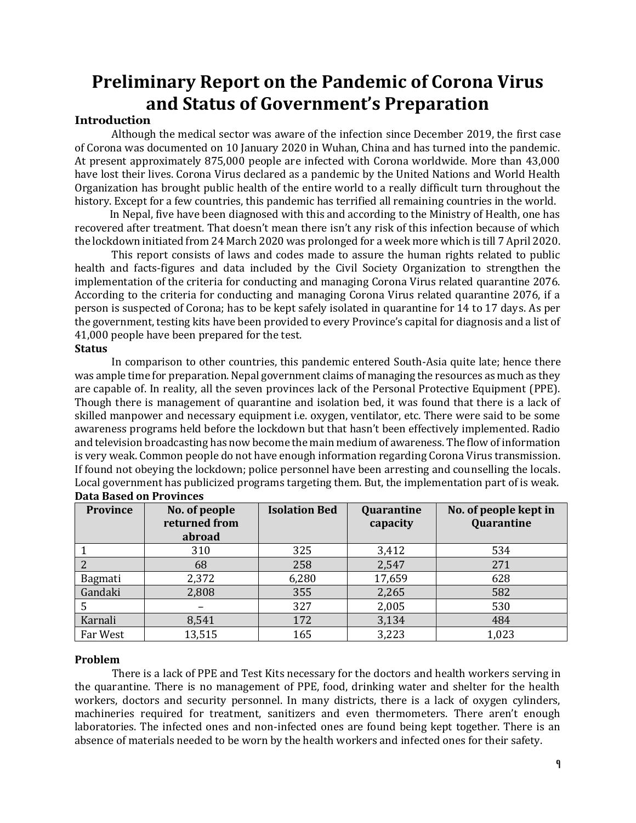# **Preliminary Report on the Pandemic of Corona Virus and Status of Government's Preparation**

# **Introduction**

Although the medical sector was aware of the infection since December 2019, the first case of Corona was documented on 10 January 2020 in Wuhan, China and has turned into the pandemic. At present approximately 875,000 people are infected with Corona worldwide. More than 43,000 have lost their lives. Corona Virus declared as a pandemic by the United Nations and World Health Organization has brought public health of the entire world to a really difficult turn throughout the history. Except for a few countries, this pandemic has terrified all remaining countries in the world.

 In Nepal, five have been diagnosed with this and according to the Ministry of Health, one has recovered after treatment. That doesn't mean there isn't any risk of this infection because of which the lockdown initiated from 24 March 2020 was prolonged for a week more which is till 7 April 2020.

This report consists of laws and codes made to assure the human rights related to public health and facts-figures and data included by the Civil Society Organization to strengthen the implementation of the criteria for conducting and managing Corona Virus related quarantine 2076. According to the criteria for conducting and managing Corona Virus related quarantine 2076, if a person is suspected of Corona; has to be kept safely isolated in quarantine for 14 to 17 days. As per the government, testing kits have been provided to every Province's capital for diagnosis and a list of 41,000 people have been prepared for the test.

# **Status**

In comparison to other countries, this pandemic entered South-Asia quite late; hence there was ample time for preparation. Nepal government claims of managing the resources as much as they are capable of. In reality, all the seven provinces lack of the Personal Protective Equipment (PPE). Though there is management of quarantine and isolation bed, it was found that there is a lack of skilled manpower and necessary equipment i.e. oxygen, ventilator, etc. There were said to be some awareness programs held before the lockdown but that hasn't been effectively implemented. Radio and television broadcasting has now become the main medium of awareness. The flow of information is very weak. Common people do not have enough information regarding Corona Virus transmission. If found not obeying the lockdown; police personnel have been arresting and counselling the locals. Local government has publicized programs targeting them. But, the implementation part of is weak. **Data Based on Provinces**

| Province | No. of people<br>returned from<br>abroad | <b>Isolation Bed</b> | Quarantine<br>capacity | No. of people kept in<br>Quarantine |
|----------|------------------------------------------|----------------------|------------------------|-------------------------------------|
|          | 310                                      | 325                  | 3,412                  | 534                                 |
|          | 68                                       | 258                  | 2,547                  | 271                                 |
| Bagmati  | 2,372                                    | 6,280                | 17,659                 | 628                                 |
| Gandaki  | 2,808                                    | 355                  | 2,265                  | 582                                 |
|          |                                          | 327                  | 2,005                  | 530                                 |
| Karnali  | 8,541                                    | 172                  | 3,134                  | 484                                 |
| Far West | 13,515                                   | 165                  | 3,223                  | 1,023                               |

# **Problem**

There is a lack of PPE and Test Kits necessary for the doctors and health workers serving in the quarantine. There is no management of PPE, food, drinking water and shelter for the health workers, doctors and security personnel. In many districts, there is a lack of oxygen cylinders, machineries required for treatment, sanitizers and even thermometers. There aren't enough laboratories. The infected ones and non-infected ones are found being kept together. There is an absence of materials needed to be worn by the health workers and infected ones for their safety.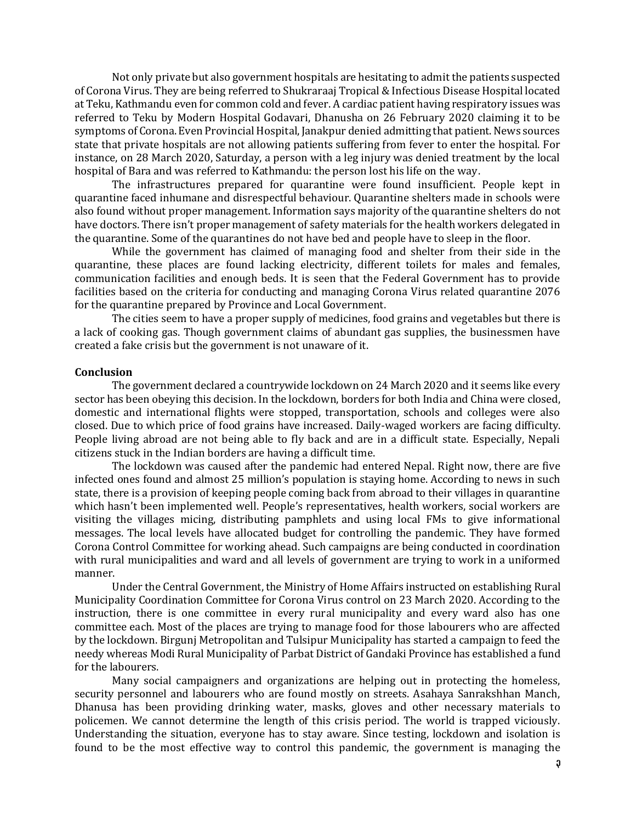Not only private but also government hospitals are hesitating to admit the patients suspected of Corona Virus. They are being referred to Shukraraaj Tropical & Infectious Disease Hospital located at Teku, Kathmandu even for common cold and fever. A cardiac patient having respiratory issues was referred to Teku by Modern Hospital Godavari, Dhanusha on 26 February 2020 claiming it to be symptoms of Corona. Even Provincial Hospital, Janakpur denied admitting that patient. News sources state that private hospitals are not allowing patients suffering from fever to enter the hospital. For instance, on 28 March 2020, Saturday, a person with a leg injury was denied treatment by the local hospital of Bara and was referred to Kathmandu: the person lost his life on the way.

The infrastructures prepared for quarantine were found insufficient. People kept in quarantine faced inhumane and disrespectful behaviour. Quarantine shelters made in schools were also found without proper management. Information says majority of the quarantine shelters do not have doctors. There isn't proper management of safety materials for the health workers delegated in the quarantine. Some of the quarantines do not have bed and people have to sleep in the floor.

While the government has claimed of managing food and shelter from their side in the quarantine, these places are found lacking electricity, different toilets for males and females, communication facilities and enough beds. It is seen that the Federal Government has to provide facilities based on the criteria for conducting and managing Corona Virus related quarantine 2076 for the quarantine prepared by Province and Local Government.

The cities seem to have a proper supply of medicines, food grains and vegetables but there is a lack of cooking gas. Though government claims of abundant gas supplies, the businessmen have created a fake crisis but the government is not unaware of it.

### **Conclusion**

The government declared a countrywide lockdown on 24 March 2020 and it seems like every sector has been obeying this decision. In the lockdown, borders for both India and China were closed, domestic and international flights were stopped, transportation, schools and colleges were also closed. Due to which price of food grains have increased. Daily-waged workers are facing difficulty. People living abroad are not being able to fly back and are in a difficult state. Especially, Nepali citizens stuck in the Indian borders are having a difficult time.

The lockdown was caused after the pandemic had entered Nepal. Right now, there are five infected ones found and almost 25 million's population is staying home. According to news in such state, there is a provision of keeping people coming back from abroad to their villages in quarantine which hasn't been implemented well. People's representatives, health workers, social workers are visiting the villages micing, distributing pamphlets and using local FMs to give informational messages. The local levels have allocated budget for controlling the pandemic. They have formed Corona Control Committee for working ahead. Such campaigns are being conducted in coordination with rural municipalities and ward and all levels of government are trying to work in a uniformed manner.

Under the Central Government, the Ministry of Home Affairs instructed on establishing Rural Municipality Coordination Committee for Corona Virus control on 23 March 2020. According to the instruction, there is one committee in every rural municipality and every ward also has one committee each. Most of the places are trying to manage food for those labourers who are affected by the lockdown. Birgunj Metropolitan and Tulsipur Municipality has started a campaign to feed the needy whereas Modi Rural Municipality of Parbat District of Gandaki Province has established a fund for the labourers.

Many social campaigners and organizations are helping out in protecting the homeless, security personnel and labourers who are found mostly on streets. Asahaya Sanrakshhan Manch, Dhanusa has been providing drinking water, masks, gloves and other necessary materials to policemen. We cannot determine the length of this crisis period. The world is trapped viciously. Understanding the situation, everyone has to stay aware. Since testing, lockdown and isolation is found to be the most effective way to control this pandemic, the government is managing the